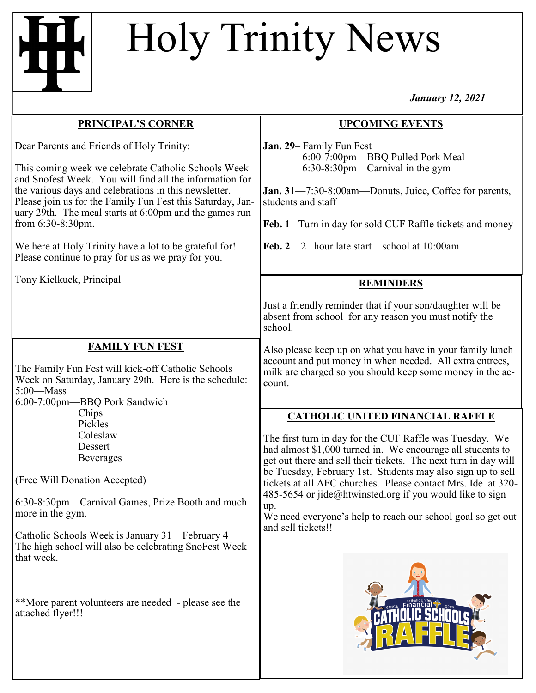## Holy Trinity News

*January 12, 2021*

| <b>PRINCIPAL'S CORNER</b>                                                                                                                                                                                                                                                                                                                                                                                                                                                                                     | <b>UPCOMING EVENTS</b>                                                                                                                                                                                                                                                                                                                                                                                                                                                                                                      |
|---------------------------------------------------------------------------------------------------------------------------------------------------------------------------------------------------------------------------------------------------------------------------------------------------------------------------------------------------------------------------------------------------------------------------------------------------------------------------------------------------------------|-----------------------------------------------------------------------------------------------------------------------------------------------------------------------------------------------------------------------------------------------------------------------------------------------------------------------------------------------------------------------------------------------------------------------------------------------------------------------------------------------------------------------------|
| Dear Parents and Friends of Holy Trinity:<br>This coming week we celebrate Catholic Schools Week<br>and Snofest Week. You will find all the information for<br>the various days and celebrations in this newsletter.<br>Please join us for the Family Fun Fest this Saturday, Jan-<br>uary 29th. The meal starts at 6:00pm and the games run<br>from 6:30-8:30pm.<br>We here at Holy Trinity have a lot to be grateful for!<br>Please continue to pray for us as we pray for you.<br>Tony Kielkuck, Principal | Jan. 29– Family Fun Fest<br>6:00-7:00pm-BBQ Pulled Pork Meal<br>$6:30-8:30$ pm—Carnival in the gym<br>Jan. 31-7:30-8:00am-Donuts, Juice, Coffee for parents,<br>students and staff<br>Feb. 1- Turn in day for sold CUF Raffle tickets and money<br>Feb. 2-2-hour late start-school at 10:00am<br><b>REMINDERS</b>                                                                                                                                                                                                           |
|                                                                                                                                                                                                                                                                                                                                                                                                                                                                                                               | Just a friendly reminder that if your son/daughter will be<br>absent from school for any reason you must notify the<br>school.                                                                                                                                                                                                                                                                                                                                                                                              |
| <b>FAMILY FUN FEST</b><br>The Family Fun Fest will kick-off Catholic Schools<br>Week on Saturday, January 29th. Here is the schedule:<br>$5:00$ —Mass<br>6:00-7:00pm-BBQ Pork Sandwich                                                                                                                                                                                                                                                                                                                        | Also please keep up on what you have in your family lunch<br>account and put money in when needed. All extra entrees,<br>milk are charged so you should keep some money in the ac-<br>count.                                                                                                                                                                                                                                                                                                                                |
| Chips<br>Pickles<br>Coleslaw<br>Dessert<br><b>Beverages</b><br>(Free Will Donation Accepted)<br>6:30-8:30pm—Carnival Games, Prize Booth and much<br>more in the gym.<br>Catholic Schools Week is January 31—February 4<br>The high school will also be celebrating SnoFest Week<br>that week.                                                                                                                                                                                                                 | <b>CATHOLIC UNITED FINANCIAL RAFFLE</b><br>The first turn in day for the CUF Raffle was Tuesday. We<br>had almost \$1,000 turned in. We encourage all students to<br>get out there and sell their tickets. The next turn in day will<br>be Tuesday, February 1st. Students may also sign up to sell<br>tickets at all AFC churches. Please contact Mrs. Ide at 320-<br>485-5654 or jide@htwinsted.org if you would like to sign<br>up.<br>We need everyone's help to reach our school goal so get out<br>and sell tickets!! |
| **More parent volunteers are needed - please see the<br>attached flyer!!!                                                                                                                                                                                                                                                                                                                                                                                                                                     |                                                                                                                                                                                                                                                                                                                                                                                                                                                                                                                             |